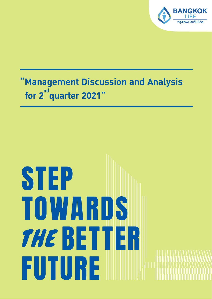

# 'Management Discussion and Analysis for 2<sup>nd</sup> quarter 2021"

# STEP TOWNERDS **THE BETTER** FUTURE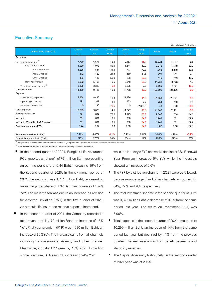Condolidated Baht, million

## **Executive Summary**

| Quarter<br>2/21 | Quarter<br>2/20 | Change  | Quarter | Change  |        |        |         |
|-----------------|-----------------|---------|---------|---------|--------|--------|---------|
|                 |                 |         |         |         | 6M/21  | 6M/20  | Change  |
|                 |                 | YoY%    | 1/21    | QoQ%    |        |        | YoY%    |
|                 |                 |         |         |         |        |        |         |
| 7,770           | 6,677           | 16.4    | 9,153   | $-15.1$ | 16,923 | 15,887 | 6.5     |
| 1,930           | 1,073           | 80.0    | 1,341   | 43.9    | 3,272  | 2,350  | 39.2    |
| 1,235           | 534             | 131.4   | 717     | 72.3    | 1,952  | 1,150  | 69.8    |
| 512             | 422             | 21.3    | 389     | 31.6    | 901    | 841    | 7.1     |
| 183             | 117             | 56.9    | 236     | $-22.2$ | 419    | 359    | 16.7    |
| 6,082           | 5,766           | 5.5     | 8,648   | $-29.7$ | 14,731 | 14,546 | 1.3     |
| 3,325           | 3,328           | $-0.1$  | 3,235   | 2.8     | 6,560  | 7,841  | $-16.3$ |
| 11,170          | 9,716           | 15.0    | 12,726  | $-12.2$ | 23,896 | 24,106 | $-0.9$  |
|                 |                 |         |         |         |        |        |         |
| 9,864           | 8,446           | 16.8    | 11,186  | $-11.8$ | 21,050 | 22,221 | $-5.3$  |
| 391             | 387             | 1.1     | 363     | 7.7     | 754    | 750    | 0.6     |
| 45              | 190             | $-76.5$ | (2)     | 2,383.8 | 43     | 220    | $-80.6$ |
| 10,299          | 9,023           | 14.1    | 11,547  | $-10.8$ | 21,846 | 23,191 | $-5.8$  |
| 871             | 694             | 25.5    | 1,179   | $-26.1$ | 2,049  | 914    | 124.1   |
| 751             | 631             | 19.1    | 990     | $-24.1$ | 1,741  | 861    | 102.2   |
| 751             | 631             | 19.1    | 990     | $-24.1$ | 1,741  | 861    | 102.2   |
| 0.44            | 0.37            | 18.8    | 0.58    | $-24.1$ | 1.02   | 0.50   | 102.3   |
|                 |                 |         |         |         |        |        |         |
| 3.96%           | 4.03%           | $-0.1%$ | 3.92%   | 0.04%   | 3.94%  | 4.79%  | $-0.9%$ |
| 295%            | 275%            | 20%     | 284%    | 11%     | 295%   | 275%   | 20%     |
|                 |                 |         |         |         |        |        |         |

(1) Net premiums written = first year premiums + renewal year premiums - premiums ceded ± unearned premium reserves

 $\alpha^{(2)}$  Total investment income = Interest income + Dividend + Profit (Loss) from Investment

- In the second quarter of 2021, Bangkok Life Assurance PCL. reported a net profit of 751 million Baht, representing an earning per share of 0.44 Baht, increasing 19% from the second quarter of 2020. In the six-month period of 2021, the net profit was 1,741 million Baht, representing an earnings per share of 1.02 Baht, an increase of 102% YoY. The main reason was due to an increase in Provision for Adverse Deviation (PAD) in the first quarter of 2020. As a result, life insurance reserve expense increased.
- In the second quarter of 2021, the Company recorded a total revenue of 11,170 million Baht, an increase of 15% YoY. First year premium (FYP) was 1,930 million Baht, an increase of 80%YoY. The increase came from all channels including Bancassurance, Agency and other channel. Meanwhile, industry FYP grew by 15% YoY. Excluding single premium, BLA saw FYP increasing 94% YoY

while the industry's FYP showed a decline of 3%. Renewal Year Premium increased 5% YoY while the industry's showed an increase of 0.6%

- The FYP by distribution channel in 2Q21 were as followed: bancassurance, agent and other channels accounted for 64%, 27% and 9%, respectively.
- The total investment income in the second quarter of 2021 was 3,325 million Baht, a decrease of 0.1% from the same period last year. The return on investment (ROI) was 3.96%.
- Total expense in the second quarter of 2021 amounted to 10,299 million Baht, an increase of 14% from the same period last year but declined by 11% from the previous quarter. The key reason was from benefit payments and life policy reserves.
- The Capital Adequacy Ratio (CAR) in the second quarter of 2021 year was at 295%.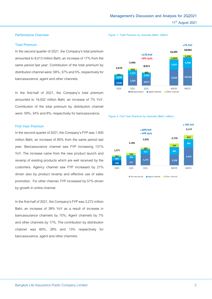#### **Performance Overview**

#### **Total Premium**

In the second quarter of 2021, the Company's total premium amounted to 8,013 million Baht, an increase of 17% from the same period last year. Contribution of the total premium by distribution channel were: 58%, 37% and 5%, respectively for bancassurance, agent and other channels.

In the first-half of 2021, the Company's total premium amounted to 18,002 million Baht, an increase of 7% YoY. Contribution of the total premium by distribution channel were: 59%, 34% and 8%, respectively for bancassurance.

#### **First Year Premium**

In the second quarter of 2021, the Company's FYP was 1,930 million Baht, an increase of 80% from the same period last year. Bancassurance channel saw FYP increasing 131% YoY. The increase came from the new product launch and revamp of existing products which are well received by the customers. Agency channel saw FYP increased by 21% driven also by product revamp and effective use of sales promotion. For other channel, FYP increased by 57% driven by growth in online channel.

In the first-half of 2021, the Company's FYP was 3,272 million Baht, an increase of 39% YoY as a result of increase in bancassurance channels by 70%, Agent channels by 7% and other channels by 17%. The contribution by distribution channel was 60%, 28% and 13% respectively for bancassurance, agent and other channels.

#### **Figure 1: Total Premium by channels (Baht: million)**



**Figure 2: First Year Premium by channels (Baht: million)**

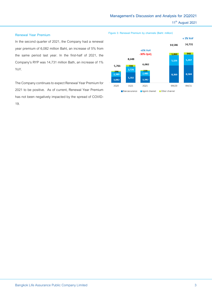#### **Renewal Year Premium**

In the second quarter of 2021, the Company had a renewal year premium of 6,082 million Baht, an increase of 5% from the same period last year. In the first-half of 2021, the Company's RYP was 14,731 million Bath, an increase of 1% YoY.

The Company continues to expect Renewal Year Premium for 2021 to be positive. As of current, Renewal Year Premium has not been negatively impacted by the spread of COVID-19.

**Figure 3: Renewal Premium by channels (Baht: million)**

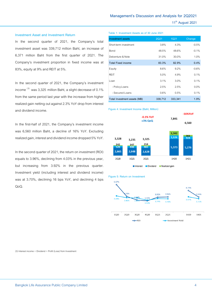#### **Investment Asset and Investment Return**

In the second quarter of 2021, the Company's total investment asset was 339,712 million Baht, an increase of 6,371 million Baht from the first quarter of 2021. The Company's investment proportion in fixed income was at 83%, equity at 9% and REIT at 5%.

In the second quarter of 2021, the Company's investment income  $^{\left( 3\right) }$  was 3,325 million Baht, a slight decrease of 0.1% from the same period last year with the increase from higher realized gain netting out against 2.3% YoY drop from interest and dividend income.

In the first-half of 2021, the Company's investment income was 6,560 million Baht, a decline of 16% YoY. Excluding realized gain, interest and dividend income dropped 5% YoY.

In the second quarter of 2021, the return on investment (ROI) equals to 3.96%, declining from 4.03% in the previous year, but increasing from 3.92% in the previous quarter. Investment yield (including interest and dividend income) was at 3.70%, declining 16 bps YoY, and declining 4 bps QoQ.

#### **Table 1: Investment Assets as of 30 June 2021**

| <b>Investment assets</b>     | <b>2Q21</b> | 1Q21    | Change  |
|------------------------------|-------------|---------|---------|
| Short-term investment        | 3.8%        | 4.3%    | $-0.5%$ |
| Bond                         | 48.5%       | 48.6%   | $-0.1%$ |
| Debenture & Note             | 31.0%       | 30.0%   | 1.0%    |
| <b>Total Fixed income</b>    | 83.3%       | 82.9%   | 0.4%    |
| Equity                       | $8.6\%$     | $9.2\%$ | $-0.6%$ |
| <b>RFIT</b>                  | 5.0%        | 4.9%    | 0.1%    |
| Loan                         | 3.1%        | $3.0\%$ | 0.1%    |
| - Policy Loans               | 2.5%        | 2.5%    | $0.0\%$ |
| - Secured Loans              | 0.6%        | 0.5%    | 0.1%    |
| Total Investment assets (MB) | 339,712     | 333,341 | 1.9%    |

#### **Figure 4: Investment Income (Baht, Million)**







(3) Interest income + Dividend + Profit (Loss) from Investment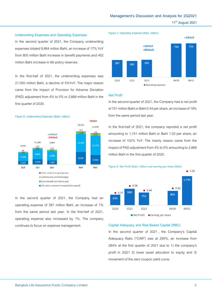#### **Underwriting Expenses and Operating Expenses**

In the second quarter of 2021, the Company underwriting expenses totaled 9,864 million Baht, an increase of 17% YoY from 800 million Baht increase in benefit payments and 452 million Baht increase in life policy reserves.

In the first-half of 2021, the underwriting expenses was 21,050 million Baht, a decline of 5%YoY. The major reason came from the impact of Provision for Adverse Deviation (PAD) adjustment from 4% to 5% or 2,668 million Baht in the first quarter of 2020.



■ Life policy reserves increased (decreased)

In the second quarter of 2021, the Company had an operating expense of 391 million Baht, an increase of 1% from the same period last year. In the first-half of 2021, operating expense also increased by 1%. The company continues to focus on expense management.



#### **Net Profit**

In the second quarter of 2021, the Company had a net profit of 751 million Baht or Baht 0.44 per share, an increase of 19% from the same period last year.

In the first-half of 2021, the company reported a net profit amounting to 1,741 million Baht or Baht 1.02 per share, an increase of 102% YoY. The mainly reason came from the impact of PAD adjustment from 4% to 5% amounting to 2,668 million Baht in the first quarter of 2020.



#### **Capital Adequacy and Risk-Based Capital (RBC)**

In the second quarter of 2021 , the Company's Capital Adequacy Ratio ("CAR") was at 295%, an increase from 284% at the first quarter of 2021 due to 1) the company's profit in 2Q21 2) lower asset allocation to equity and 3) movement of the zero coupon yield curve.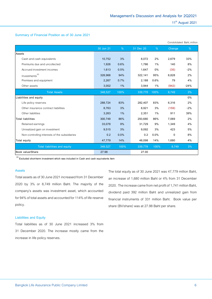#### **Summary of Financial Position as of 30 June 2021**

|                                               |           |      |           |      |          | Condolidated Baht, million |
|-----------------------------------------------|-----------|------|-----------|------|----------|----------------------------|
|                                               | 30 Jun 21 | %    | 31 Dec 20 | %    | Change   | %                          |
| Assets                                        |           |      |           |      |          |                            |
| Cash and cash equivalents                     | 10,752    | 3%   | 8,072     | 2%   | 2,679    | 33%                        |
| Premiums due and uncollected                  | 1,926     | 0.6% | 1.786     | 1%   | 140      | 8%                         |
| Accrued investment incomes                    | 1,613     | 0.5% | 1,647     | 0%   | (35)     | $-2%$                      |
| Investments <sup>(4)</sup>                    | 328,968   | 94%  | 322,141   | 95%  | 6,828    | 2%                         |
| Premises and equipment                        | 2,267     | 0.7% | 2,188     | 0.6% | 79       | 4%                         |
| Other assets                                  | 3,002     | 1%   | 3,944     | 1%   | (942)    | $-24%$                     |
| <b>Total Assets</b>                           | 348,527   | 100% | 339,778   | 100% | 8,749    | 3%                         |
| Liabilities and equity                        |           |      |           |      |          | $0\%$                      |
| Life policy reserves                          | 288.724   | 83%  | 282.407   | 83%  | 6,316    | 2%                         |
| Other insurance contract liabilities          | 8,763     | 3%   | 8,921     | 3%   | (159)    | $-2%$                      |
| Other liabilities                             | 3,263     | 1%   | 2,351     | 1%   | 911      | 39%                        |
| <b>Total liabilities</b>                      | 300,749   | 86%  | 293,680   | 86%  | 7,069    | 2%                         |
| Retained earnings                             | 33,078    | 9%   | 31,729    | 9%   | 1,349    | 4%                         |
| Unrealized gain on investment                 | 9,515     | 3%   | 9,092     | 3%   | 423      | 5%                         |
| Non-controlling interests of the subsidiaries | 0.2       | 0.0% | 0.2       | 0.0% | $\Omega$ | 8%                         |
| Total equity                                  | 47,779    | 14%  | 46,098    | 14%  | 1,680    | 4%                         |
| Total liabilities and equity                  | 348,527   | 100% | 339,778   | 100% | 8.749    | 3%                         |
| Book value/Share                              | 27.98     |      | 27.00     |      |          |                            |

**(4) Excluded short-term investment which was included in Cash and cash equivalents item**

#### **Assets**

Total assets as of 30 June 2021 increased from 31 December 2020 by 3% or 8,749 million Baht. The majority of the company's assets was investment asset, which accounted for 94% of total assets and accounted for 114% of life reserve policy.

The total equity as of 30 June 2021 was 47,779 million Baht, an increase of 1,680 million Baht or 4% from 31 December 2020. The increase came from net profit of 1,741 million Baht, dividend paid 392 million Baht and unrealized gain from financial instruments of 331 million Baht. Book value per share (BV/share) was at 27.98 Baht per share.

#### **Liabilities and Equity**

Total liabilities as of 30 June 2021 increased 3% from 31 December 2020. The increase mostly came from the increase in life policy reserves.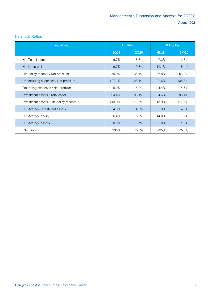### **Financial Ratios**

| <b>Financial ratio</b>                  |             | Quarter     | 6 Months |         |  |
|-----------------------------------------|-------------|-------------|----------|---------|--|
|                                         | <b>2Q21</b> | <b>2Q20</b> | 6M/21    | 6M/20   |  |
| NI / Total income                       | $6.7\%$     | 6.5%        | 7.3%     | 3.6%    |  |
| NI / Net premium                        | $9.7\%$     | 9.6%        | $10.1\%$ | 5.4%    |  |
| Life policy reserve / Net premium       | 35.9%       | 35.4%       | 36.8%    | 53.2%   |  |
| Underwriting expenses / Net premium     | 127.1%      | 128.1%      | 122.6%   | 138.3%  |  |
| Operating expenses / Net premium        | 5.0%        | 5.9%        | $4.4\%$  | 4.7%    |  |
| Investment assets / Total asset         | 94.4%       | 93.1%       | 94.4%    | 93.1%   |  |
| Investment assets / Life policy reserve | 113.9%      | 111.6%      | 113.9%   | 111.6%  |  |
| NI / Average investment assets          | 4.0%        | $4.0\%$     | 3.9%     | 4.8%    |  |
| NI / Average equity                     | 6.4%        | 5.9%        | 14.8%    | 7.7%    |  |
| NI / Average assets                     | 0.9%        | 0.7%        | $2.0\%$  | $1.0\%$ |  |
| CAR ratio                               | 295%        | 275%        | 295%     | 275%    |  |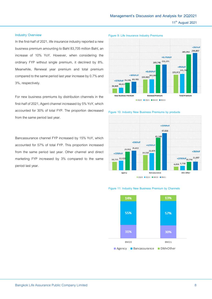#### **Industry Overview**

In the first-half of 2021, life insurance industry reported a new business premium amounting to Baht 83,705 million Baht, an increase of 10% YoY. However, when considering the ordinary FYP without single premium, it declined by 8%. Meanwhile, Renewal year premium and total premium compared to the same period last year increase by 0.7% and 3%, respectively.

For new business premiums by distribution channels in the first-half of 2021, Agent channel increased by 5% YoY, which accounted for 30% of total FYP. The proportion decreased from the same period last year.

Bancassurance channel FYP increased by 15% YoY, which accounted for 57% of total FYP. This proportion increased from the same period last year. Other channel and direct marketing FYP increased by 3% compared to the same period last year.









#### **Figure 11: Industry New Business Premium by Channels**